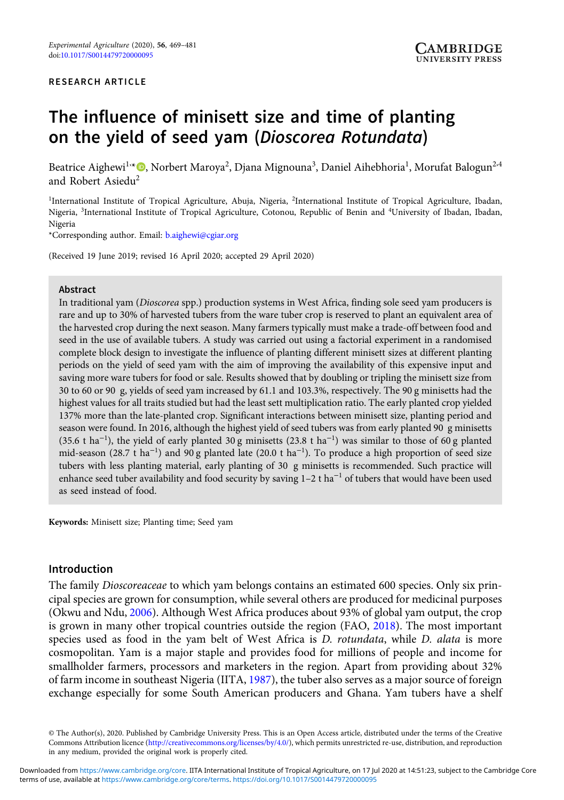#### RESEARCH ARTICLE

# The influence of minisett size and time of planting on the yield of seed yam (Dioscorea Rotundata)

Beatrice Aighewi<sup>1,</sup>\*©, Norbert Maroya<sup>2</sup>, Djana Mignouna<sup>3</sup>, Daniel Aihebhoria<sup>1</sup>, Morufat Balogun<sup>2,4</sup> and Robert Asiedu<sup>2</sup>

<sup>1</sup>International Institute of Tropical Agriculture, Abuja, Nigeria, <sup>2</sup>International Institute of Tropical Agriculture, Ibadan, Nigeria, <sup>3</sup> International Institute of Tropical Agriculture, Cotonou, Republic of Benin and <sup>4</sup> University of Ibadan, Ibadan, Nigeria

\*Corresponding author. Email: [b.aighewi@cgiar.org](mailto:b.aighewi@cgiar.org)

(Received 19 June 2019; revised 16 April 2020; accepted 29 April 2020)

## Abstract

In traditional yam (Dioscorea spp.) production systems in West Africa, finding sole seed yam producers is rare and up to 30% of harvested tubers from the ware tuber crop is reserved to plant an equivalent area of the harvested crop during the next season. Many farmers typically must make a trade-off between food and seed in the use of available tubers. A study was carried out using a factorial experiment in a randomised complete block design to investigate the influence of planting different minisett sizes at different planting periods on the yield of seed yam with the aim of improving the availability of this expensive input and saving more ware tubers for food or sale. Results showed that by doubling or tripling the minisett size from 30 to 60 or 90 g, yields of seed yam increased by 61.1 and 103.3%, respectively. The 90 g minisetts had the highest values for all traits studied but had the least sett multiplication ratio. The early planted crop yielded 137% more than the late-planted crop. Significant interactions between minisett size, planting period and season were found. In 2016, although the highest yield of seed tubers was from early planted 90 g minisetts (35.6 t ha<sup>-1</sup>), the yield of early planted 30 g minisetts (23.8 t ha<sup>-1</sup>) was similar to those of 60 g planted mid-season (28.7 t ha<sup>-1</sup>) and 90 g planted late (20.0 t ha<sup>-1</sup>). To produce a high proportion of seed size tubers with less planting material, early planting of 30 g minisetts is recommended. Such practice will enhance seed tuber availability and food security by saving  $1-2$  t ha<sup> $-1$ </sup> of tubers that would have been used as seed instead of food.

Keywords: Minisett size; Planting time; Seed yam

### Introduction

The family Dioscoreaceae to which yam belongs contains an estimated 600 species. Only six principal species are grown for consumption, while several others are produced for medicinal purposes (Okwu and Ndu, 2006). Although West Africa produces about 93% of global yam output, the crop is grown in many other tropical countries outside the region (FAO, 2018). The most important species used as food in the yam belt of West Africa is *D. rotundata*, while *D. alata* is more cosmopolitan. Yam is a major staple and provides food for millions of people and income for smallholder farmers, processors and marketers in the region. Apart from providing about 32% of farm income in southeast Nigeria (IITA, 1987), the tuber also serves as a major source of foreign exchange especially for some South American producers and Ghana. Yam tubers have a shelf

<sup>©</sup> The Author(s), 2020. Published by Cambridge University Press. This is an Open Access article, distributed under the terms of the Creative Commons Attribution licence ([http://creativecommons.org/licenses/by/4.0/\)](http://creativecommons.org/licenses/by/4.0/), which permits unrestricted re-use, distribution, and reproduction in any medium, provided the original work is properly cited.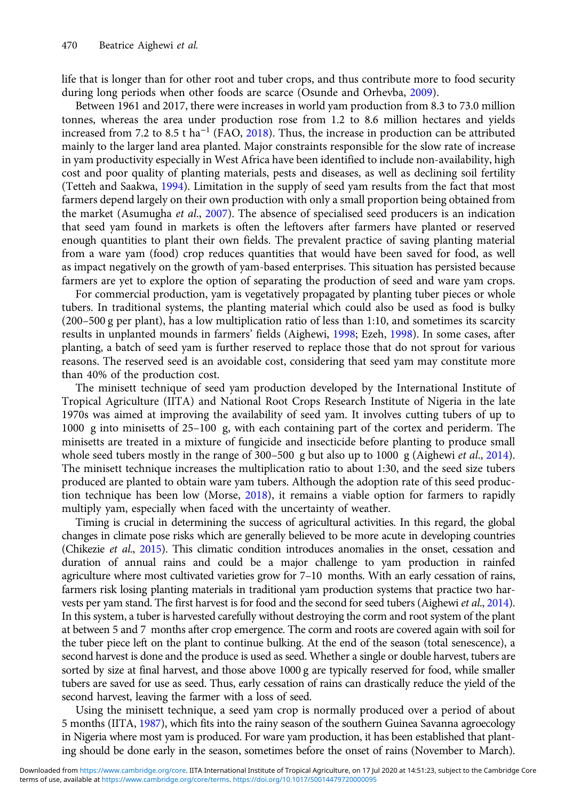life that is longer than for other root and tuber crops, and thus contribute more to food security during long periods when other foods are scarce (Osunde and Orhevba, 2009).

Between 1961 and 2017, there were increases in world yam production from 8.3 to 73.0 million tonnes, whereas the area under production rose from 1.2 to 8.6 million hectares and yields increased from 7.2 to 8.5 t ha<sup>-1</sup> (FAO, 2018). Thus, the increase in production can be attributed mainly to the larger land area planted. Major constraints responsible for the slow rate of increase in yam productivity especially in West Africa have been identified to include non-availability, high cost and poor quality of planting materials, pests and diseases, as well as declining soil fertility (Tetteh and Saakwa, 1994). Limitation in the supply of seed yam results from the fact that most farmers depend largely on their own production with only a small proportion being obtained from the market (Asumugha et al., 2007). The absence of specialised seed producers is an indication that seed yam found in markets is often the leftovers after farmers have planted or reserved enough quantities to plant their own fields. The prevalent practice of saving planting material from a ware yam (food) crop reduces quantities that would have been saved for food, as well as impact negatively on the growth of yam-based enterprises. This situation has persisted because farmers are yet to explore the option of separating the production of seed and ware yam crops.

For commercial production, yam is vegetatively propagated by planting tuber pieces or whole tubers. In traditional systems, the planting material which could also be used as food is bulky (200–500 g per plant), has a low multiplication ratio of less than 1:10, and sometimes its scarcity results in unplanted mounds in farmers' fields (Aighewi, 1998; Ezeh, 1998). In some cases, after planting, a batch of seed yam is further reserved to replace those that do not sprout for various reasons. The reserved seed is an avoidable cost, considering that seed yam may constitute more than 40% of the production cost.

The minisett technique of seed yam production developed by the International Institute of Tropical Agriculture (IITA) and National Root Crops Research Institute of Nigeria in the late 1970s was aimed at improving the availability of seed yam. It involves cutting tubers of up to 1000 g into minisetts of 25–100 g, with each containing part of the cortex and periderm. The minisetts are treated in a mixture of fungicide and insecticide before planting to produce small whole seed tubers mostly in the range of 300–500 g but also up to 1000 g (Aighewi *et al.*, 2014). The minisett technique increases the multiplication ratio to about 1:30, and the seed size tubers produced are planted to obtain ware yam tubers. Although the adoption rate of this seed production technique has been low (Morse, 2018), it remains a viable option for farmers to rapidly multiply yam, especially when faced with the uncertainty of weather.

Timing is crucial in determining the success of agricultural activities. In this regard, the global changes in climate pose risks which are generally believed to be more acute in developing countries (Chikezie et al., 2015). This climatic condition introduces anomalies in the onset, cessation and duration of annual rains and could be a major challenge to yam production in rainfed agriculture where most cultivated varieties grow for 7–10 months. With an early cessation of rains, farmers risk losing planting materials in traditional yam production systems that practice two harvests per yam stand. The first harvest is for food and the second for seed tubers (Aighewi et al., 2014). In this system, a tuber is harvested carefully without destroying the corm and root system of the plant at between 5 and 7 months after crop emergence. The corm and roots are covered again with soil for the tuber piece left on the plant to continue bulking. At the end of the season (total senescence), a second harvest is done and the produce is used as seed. Whether a single or double harvest, tubers are sorted by size at final harvest, and those above 1000 g are typically reserved for food, while smaller tubers are saved for use as seed. Thus, early cessation of rains can drastically reduce the yield of the second harvest, leaving the farmer with a loss of seed.

Using the minisett technique, a seed yam crop is normally produced over a period of about 5 months (IITA, 1987), which fits into the rainy season of the southern Guinea Savanna agroecology in Nigeria where most yam is produced. For ware yam production, it has been established that planting should be done early in the season, sometimes before the onset of rains (November to March).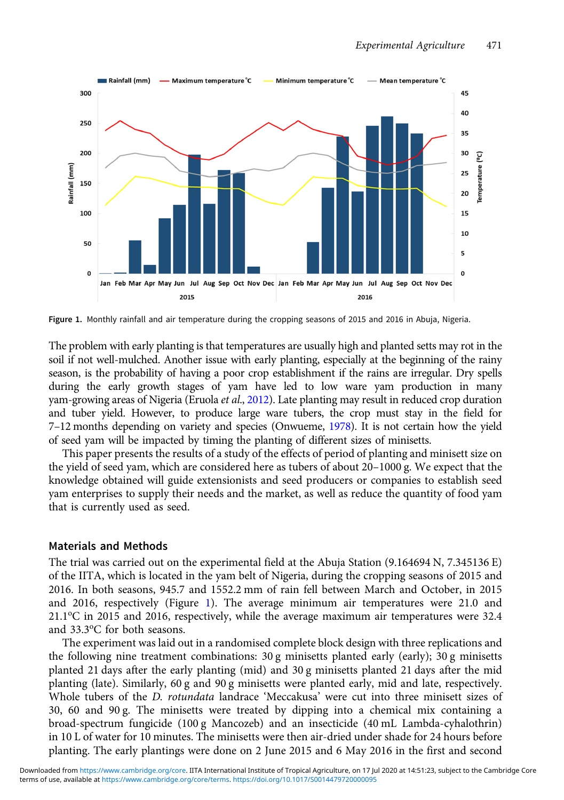

Figure 1. Monthly rainfall and air temperature during the cropping seasons of 2015 and 2016 in Abuja, Nigeria.

The problem with early planting is that temperatures are usually high and planted setts may rot in the soil if not well-mulched. Another issue with early planting, especially at the beginning of the rainy season, is the probability of having a poor crop establishment if the rains are irregular. Dry spells during the early growth stages of yam have led to low ware yam production in many yam-growing areas of Nigeria (Eruola et al., 2012). Late planting may result in reduced crop duration and tuber yield. However, to produce large ware tubers, the crop must stay in the field for 7–12 months depending on variety and species (Onwueme, 1978). It is not certain how the yield of seed yam will be impacted by timing the planting of different sizes of minisetts.

This paper presents the results of a study of the effects of period of planting and minisett size on the yield of seed yam, which are considered here as tubers of about 20–1000 g. We expect that the knowledge obtained will guide extensionists and seed producers or companies to establish seed yam enterprises to supply their needs and the market, as well as reduce the quantity of food yam that is currently used as seed.

### Materials and Methods

The trial was carried out on the experimental field at the Abuja Station (9.164694 N, 7.345136 E) of the IITA, which is located in the yam belt of Nigeria, during the cropping seasons of 2015 and 2016. In both seasons, 945.7 and 1552.2 mm of rain fell between March and October, in 2015 and 2016, respectively (Figure 1). The average minimum air temperatures were 21.0 and 21.1°C in 2015 and 2016, respectively, while the average maximum air temperatures were 32.4 and 33.3°C for both seasons.

The experiment was laid out in a randomised complete block design with three replications and the following nine treatment combinations:  $30 \text{ g}$  minisetts planted early (early);  $30 \text{ g}$  minisetts planted 21 days after the early planting (mid) and 30 g minisetts planted 21 days after the mid planting (late). Similarly, 60 g and 90 g minisetts were planted early, mid and late, respectively. Whole tubers of the *D. rotundata* landrace 'Meccakusa' were cut into three minisett sizes of 30, 60 and 90 g. The minisetts were treated by dipping into a chemical mix containing a broad-spectrum fungicide (100 g Mancozeb) and an insecticide (40 mL Lambda-cyhalothrin) in 10 L of water for 10 minutes. The minisetts were then air-dried under shade for 24 hours before planting. The early plantings were done on 2 June 2015 and 6 May 2016 in the first and second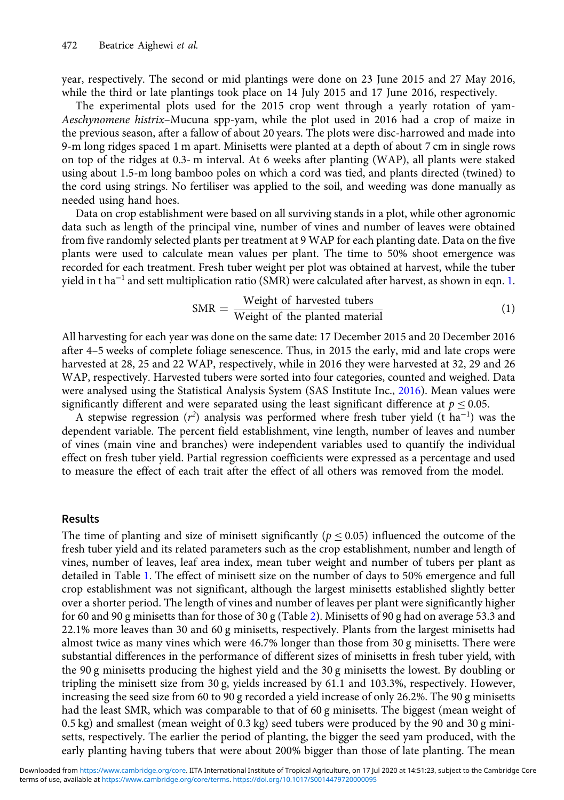year, respectively. The second or mid plantings were done on 23 June 2015 and 27 May 2016, while the third or late plantings took place on 14 July 2015 and 17 June 2016, respectively.

The experimental plots used for the 2015 crop went through a yearly rotation of yam-Aeschynomene histrix–Mucuna spp-yam, while the plot used in 2016 had a crop of maize in the previous season, after a fallow of about 20 years. The plots were disc-harrowed and made into 9-m long ridges spaced 1 m apart. Minisetts were planted at a depth of about 7 cm in single rows on top of the ridges at 0.3- m interval. At 6 weeks after planting (WAP), all plants were staked using about 1.5-m long bamboo poles on which a cord was tied, and plants directed (twined) to the cord using strings. No fertiliser was applied to the soil, and weeding was done manually as needed using hand hoes.

Data on crop establishment were based on all surviving stands in a plot, while other agronomic data such as length of the principal vine, number of vines and number of leaves were obtained from five randomly selected plants per treatment at 9 WAP for each planting date. Data on the five plants were used to calculate mean values per plant. The time to 50% shoot emergence was recorded for each treatment. Fresh tuber weight per plot was obtained at harvest, while the tuber yield in t ha<sup>-1</sup> and sett multiplication ratio (SMR) were calculated after harvest, as shown in eqn. 1.

$$
SMR = \frac{Weight \ of \ harvested \ tubes}{Weight \ of \ the \ planted \ material}
$$
 (1)

All harvesting for each year was done on the same date: 17 December 2015 and 20 December 2016 after 4–5 weeks of complete foliage senescence. Thus, in 2015 the early, mid and late crops were harvested at 28, 25 and 22 WAP, respectively, while in 2016 they were harvested at 32, 29 and 26 WAP, respectively. Harvested tubers were sorted into four categories, counted and weighed. Data were analysed using the Statistical Analysis System (SAS Institute Inc., 2016). Mean values were significantly different and were separated using the least significant difference at  $p \le 0.05$ .

A stepwise regression ( $r^2$ ) analysis was performed where fresh tuber yield (t ha<sup>-1</sup>) was the dependent variable. The percent field establishment, vine length, number of leaves and number of vines (main vine and branches) were independent variables used to quantify the individual effect on fresh tuber yield. Partial regression coefficients were expressed as a percentage and used to measure the effect of each trait after the effect of all others was removed from the model.

#### Results

The time of planting and size of minisett significantly ( $p \le 0.05$ ) influenced the outcome of the fresh tuber yield and its related parameters such as the crop establishment, number and length of vines, number of leaves, leaf area index, mean tuber weight and number of tubers per plant as detailed in Table 1. The effect of minisett size on the number of days to 50% emergence and full crop establishment was not significant, although the largest minisetts established slightly better over a shorter period. The length of vines and number of leaves per plant were significantly higher for 60 and 90 g minisetts than for those of 30 g (Table 2). Minisetts of 90 g had on average 53.3 and 22.1% more leaves than 30 and 60 g minisetts, respectively. Plants from the largest minisetts had almost twice as many vines which were 46.7% longer than those from 30 g minisetts. There were substantial differences in the performance of different sizes of minisetts in fresh tuber yield, with the 90 g minisetts producing the highest yield and the 30 g minisetts the lowest. By doubling or tripling the minisett size from 30 g, yields increased by 61.1 and 103.3%, respectively. However, increasing the seed size from 60 to 90 g recorded a yield increase of only 26.2%. The 90 g minisetts had the least SMR, which was comparable to that of 60 g minisetts. The biggest (mean weight of 0.5 kg) and smallest (mean weight of 0.3 kg) seed tubers were produced by the 90 and 30 g minisetts, respectively. The earlier the period of planting, the bigger the seed yam produced, with the early planting having tubers that were about 200% bigger than those of late planting. The mean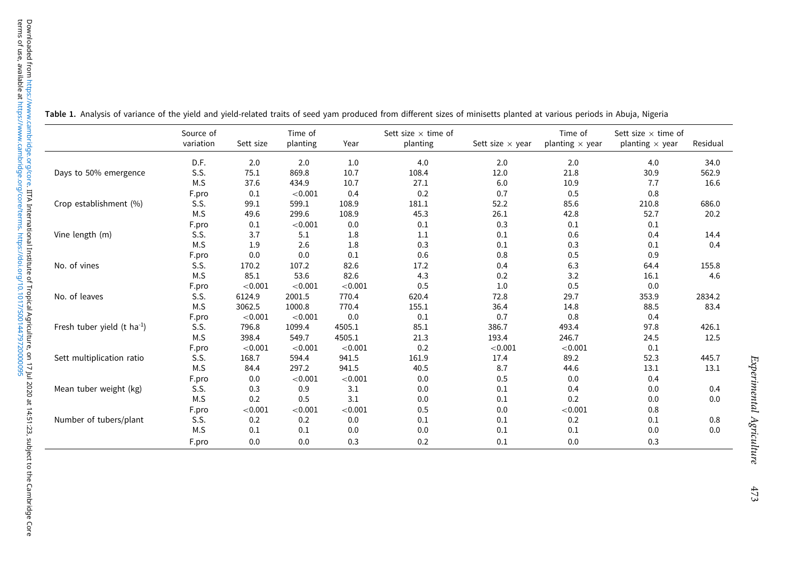|                                         | Source of<br>variation | Sett size | Time of<br>planting | Year    | Sett size $\times$ time of<br>planting | Sett size $\times$ year | Time of<br>planting $\times$ year | Sett size $\times$ time of<br>planting $\times$ year | Residual |
|-----------------------------------------|------------------------|-----------|---------------------|---------|----------------------------------------|-------------------------|-----------------------------------|------------------------------------------------------|----------|
|                                         | D.F.                   | 2.0       | 2.0                 | 1.0     | 4.0                                    | 2.0                     | 2.0                               | 4.0                                                  | 34.0     |
| Days to 50% emergence                   | S.S.                   | 75.1      | 869.8               | 10.7    | 108.4                                  | 12.0                    | 21.8                              | 30.9                                                 | 562.9    |
|                                         | M.S                    | 37.6      | 434.9               | 10.7    | 27.1                                   | 6.0                     | 10.9                              | 7.7                                                  | 16.6     |
|                                         | F.pro                  | 0.1       | < 0.001             | 0.4     | 0.2                                    | 0.7                     | 0.5                               | 0.8                                                  |          |
| Crop establishment (%)                  | S.S.                   | 99.1      | 599.1               | 108.9   | 181.1                                  | 52.2                    | 85.6                              | 210.8                                                | 686.0    |
|                                         | M.S                    | 49.6      | 299.6               | 108.9   | 45.3                                   | 26.1                    | 42.8                              | 52.7                                                 | 20.2     |
|                                         | F.pro                  | 0.1       | < 0.001             | 0.0     | 0.1                                    | 0.3                     | 0.1                               | 0.1                                                  |          |
| Vine length (m)                         | S.S.                   | 3.7       | 5.1                 | 1.8     | 1.1                                    | 0.1                     | 0.6                               | 0.4                                                  | 14.4     |
|                                         | M.S                    | 1.9       | 2.6                 | 1.8     | 0.3                                    | 0.1                     | 0.3                               | 0.1                                                  | 0.4      |
|                                         | F.pro                  | 0.0       | 0.0                 | 0.1     | 0.6                                    | 0.8                     | 0.5                               | 0.9                                                  |          |
| No. of vines                            | S.S.                   | 170.2     | 107.2               | 82.6    | 17.2                                   | 0.4                     | 6.3                               | 64.4                                                 | 155.8    |
|                                         | M.S                    | 85.1      | 53.6                | 82.6    | 4.3                                    | 0.2                     | 3.2                               | 16.1                                                 | 4.6      |
|                                         | F.pro                  | < 0.001   | < 0.001             | < 0.001 | 0.5                                    | 1.0                     | 0.5                               | 0.0                                                  |          |
| No. of leaves                           | S.S.                   | 6124.9    | 2001.5              | 770.4   | 620.4                                  | 72.8                    | 29.7                              | 353.9                                                | 2834.2   |
|                                         | M.S                    | 3062.5    | 1000.8              | 770.4   | 155.1                                  | 36.4                    | 14.8                              | 88.5                                                 | 83.4     |
|                                         | F.pro                  | < 0.001   | < 0.001             | 0.0     | 0.1                                    | 0.7                     | 0.8                               | 0.4                                                  |          |
| Fresh tuber yield (t ha <sup>-1</sup> ) | S.S.                   | 796.8     | 1099.4              | 4505.1  | 85.1                                   | 386.7                   | 493.4                             | 97.8                                                 | 426.1    |
|                                         | M.S                    | 398.4     | 549.7               | 4505.1  | 21.3                                   | 193.4                   | 246.7                             | 24.5                                                 | 12.5     |
|                                         | F.pro                  | < 0.001   | < 0.001             | < 0.001 | 0.2                                    | < 0.001                 | < 0.001                           | 0.1                                                  |          |
| Sett multiplication ratio               | S.S.                   | 168.7     | 594.4               | 941.5   | 161.9                                  | 17.4                    | 89.2                              | 52.3                                                 | 445.7    |
|                                         | M.S                    | 84.4      | 297.2               | 941.5   | 40.5                                   | 8.7                     | 44.6                              | 13.1                                                 | 13.1     |
|                                         | F.pro                  | 0.0       | < 0.001             | < 0.001 | 0.0                                    | 0.5                     | 0.0                               | 0.4                                                  |          |
| Mean tuber weight (kg)                  | S.S.                   | 0.3       | 0.9                 | 3.1     | 0.0                                    | 0.1                     | 0.4                               | 0.0                                                  | 0.4      |
|                                         | M.S                    | 0.2       | 0.5                 | 3.1     | 0.0                                    | 0.1                     | 0.2                               | 0.0                                                  | 0.0      |
|                                         | F.pro                  | < 0.001   | < 0.001             | < 0.001 | 0.5                                    | 0.0                     | < 0.001                           | 0.8                                                  |          |
| Number of tubers/plant                  | S.S.                   | 0.2       | 0.2                 | 0.0     | 0.1                                    | 0.1                     | 0.2                               | 0.1                                                  | 0.8      |
|                                         | M.S                    | 0.1       | 0.1                 | 0.0     | 0.0                                    | 0.1                     | 0.1                               | 0.0                                                  | 0.0      |
|                                         | F.pro                  | 0.0       | 0.0                 | 0.3     | 0.2                                    | 0.1                     | 0.0                               | 0.3                                                  |          |

Table 1. Analysis of variance of the yield and yield-related traits of seed yam produced from different sizes of minisetts planted at various periods in Abuja, Nigeria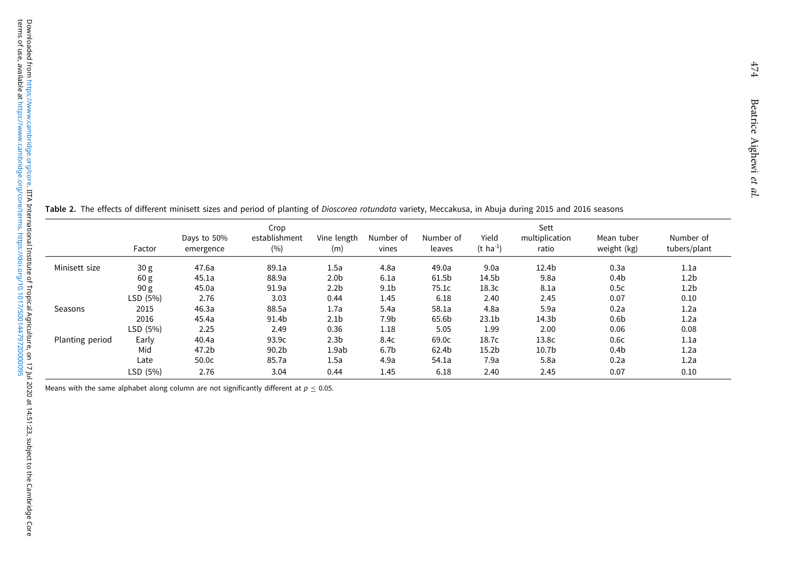Table 2. The effects of different minisett sizes and period of planting of Dioscorea rotundata variety, Meccakusa, in Abuja during 2015 and 2016 seasons

|                 | Factor          | Days to 50%<br>emergence | Crop<br>establishment<br>(%) | Vine length<br>(m) | Number of<br>vines | Number of<br>leaves | Yield<br>$(t \; ha^{-1})$ | Sett<br>multiplication<br>ratio | Mean tuber<br>weight (kg) | Number of<br>tubers/plant |
|-----------------|-----------------|--------------------------|------------------------------|--------------------|--------------------|---------------------|---------------------------|---------------------------------|---------------------------|---------------------------|
| Minisett size   | 30 <sub>g</sub> | 47.6a                    | 89.1a                        | 1.5a               | 4.8a               | 49.0a               | 9.0a                      | 12.4b                           | 0.3a                      | 1.1a                      |
|                 | 60 g            | 45.1a                    | 88.9a                        | 2.0 <sub>b</sub>   | 6.1a               | 61.5b               | 14.5b                     | 9.8a                            | 0.4 <sub>b</sub>          | 1.2 <sub>b</sub>          |
|                 | 90 g            | 45.0a                    | 91.9a                        | 2.2 <sub>b</sub>   | 9.1 <sub>b</sub>   | 75.1c               | 18.3c                     | 8.1a                            | 0.5c                      | 1.2 <sub>b</sub>          |
|                 | LSD (5%)        | 2.76                     | 3.03                         | 0.44               | 1.45               | 6.18                | 2.40                      | 2.45                            | 0.07                      | 0.10                      |
| Seasons         | 2015            | 46.3a                    | 88.5a                        | 1.7a               | 5.4a               | 58.1a               | 4.8a                      | 5.9a                            | 0.2a                      | 1.2a                      |
|                 | 2016            | 45.4a                    | 91.4b                        | 2.1 <sub>b</sub>   | 7.9b               | 65.6b               | 23.1 <sub>b</sub>         | 14.3b                           | 0.6 <sub>b</sub>          | 1.2a                      |
|                 | LSD (5%)        | 2.25                     | 2.49                         | 0.36               | 1.18               | 5.05                | 1.99                      | 2.00                            | 0.06                      | 0.08                      |
| Planting period | Early           | 40.4a                    | 93.9c                        | 2.3 <sub>b</sub>   | 8.4c               | 69.0c               | 18.7c                     | 13.8c                           | 0.6c                      | 1.1a                      |
|                 | Mid             | 47.2b                    | 90.2 <sub>b</sub>            | 1.9ab              | 6.7 <sub>b</sub>   | 62.4b               | 15.2 <sub>b</sub>         | 10.7 <sub>b</sub>               | 0.4 <sub>b</sub>          | 1.2a                      |
|                 | Late            | 50.0 <sub>c</sub>        | 85.7a                        | 1.5a               | 4.9a               | 54.1a               | 7.9a                      | 5.8a                            | 0.2a                      | 1.2a                      |
|                 | LSD (5%)        | 2.76                     | 3.04                         | 0.44               | 1.45               | 6.18                | 2.40                      | 2.45                            | 0.07                      | 0.10                      |

Means with the same alphabet along column are not significantly different at  $p \le 0.05$ .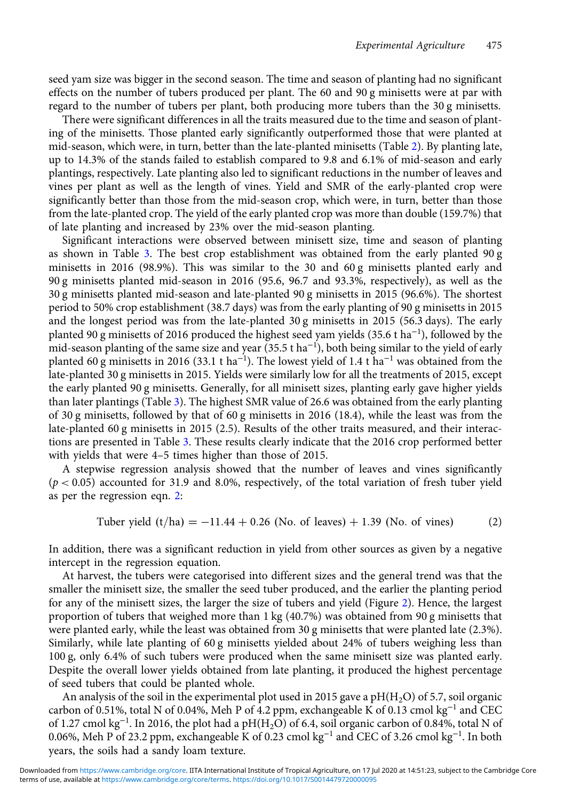seed yam size was bigger in the second season. The time and season of planting had no significant effects on the number of tubers produced per plant. The 60 and 90 g minisetts were at par with regard to the number of tubers per plant, both producing more tubers than the 30 g minisetts.

There were significant differences in all the traits measured due to the time and season of planting of the minisetts. Those planted early significantly outperformed those that were planted at mid-season, which were, in turn, better than the late-planted minisetts (Table 2). By planting late, up to 14.3% of the stands failed to establish compared to 9.8 and 6.1% of mid-season and early plantings, respectively. Late planting also led to significant reductions in the number of leaves and vines per plant as well as the length of vines. Yield and SMR of the early-planted crop were significantly better than those from the mid-season crop, which were, in turn, better than those from the late-planted crop. The yield of the early planted crop was more than double (159.7%) that of late planting and increased by 23% over the mid-season planting.

Significant interactions were observed between minisett size, time and season of planting as shown in Table 3. The best crop establishment was obtained from the early planted 90 g minisetts in 2016 (98.9%). This was similar to the 30 and 60 g minisetts planted early and 90 g minisetts planted mid-season in 2016 (95.6, 96.7 and 93.3%, respectively), as well as the 30 g minisetts planted mid-season and late-planted 90 g minisetts in 2015 (96.6%). The shortest period to 50% crop establishment (38.7 days) was from the early planting of 90 g minisetts in 2015 and the longest period was from the late-planted 30 g minisetts in 2015 (56.3 days). The early planted 90 g minisetts of 2016 produced the highest seed yam yields (35.6 t ha<sup>−1</sup>), followed by the mid-season planting of the same size and year (35.5 t ha<sup>−</sup><sup>1</sup> ), both being similar to the yield of early planted 60 g minisetts in 2016 (33.1 t ha $^{-1}$ ). The lowest yield of 1.4 t ha $^{-1}$  was obtained from the late-planted 30 g minisetts in 2015. Yields were similarly low for all the treatments of 2015, except the early planted 90 g minisetts. Generally, for all minisett sizes, planting early gave higher yields than later plantings (Table 3). The highest SMR value of 26.6 was obtained from the early planting of 30 g minisetts, followed by that of 60 g minisetts in 2016 (18.4), while the least was from the late-planted 60 g minisetts in 2015 (2.5). Results of the other traits measured, and their interactions are presented in Table 3. These results clearly indicate that the 2016 crop performed better with yields that were 4–5 times higher than those of 2015.

A stepwise regression analysis showed that the number of leaves and vines significantly  $(p < 0.05)$  accounted for 31.9 and 8.0%, respectively, of the total variation of fresh tuber yield as per the regression eqn. 2:

Tuber yield 
$$
(t/ha) = -11.44 + 0.26
$$
 (No. of leaves) + 1.39 (No. of vines) (2)

In addition, there was a significant reduction in yield from other sources as given by a negative intercept in the regression equation.

At harvest, the tubers were categorised into different sizes and the general trend was that the smaller the minisett size, the smaller the seed tuber produced, and the earlier the planting period for any of the minisett sizes, the larger the size of tubers and yield (Figure 2). Hence, the largest proportion of tubers that weighed more than 1 kg (40.7%) was obtained from 90 g minisetts that were planted early, while the least was obtained from 30 g minisetts that were planted late (2.3%). Similarly, while late planting of 60 g minisetts yielded about 24% of tubers weighing less than 100 g, only 6.4% of such tubers were produced when the same minisett size was planted early. Despite the overall lower yields obtained from late planting, it produced the highest percentage of seed tubers that could be planted whole.

An analysis of the soil in the experimental plot used in 2015 gave a  $pH(H_2O)$  of 5.7, soil organic carbon of 0.51%, total N of 0.04%, Meh P of 4.2 ppm, exchangeable K of 0.13 cmol kg<sup>-1</sup> and CEC of 1.27 cmol kg<sup>-1</sup>. In 2016, the plot had a pH(H<sub>2</sub>O) of 6.4, soil organic carbon of 0.84%, total N of 0.06%, Meh P of 23.2 ppm, exchangeable K of 0.23 cmol kg<sup>−</sup><sup>1</sup> and CEC of 3.26 cmol kg<sup>−</sup><sup>1</sup> . In both years, the soils had a sandy loam texture.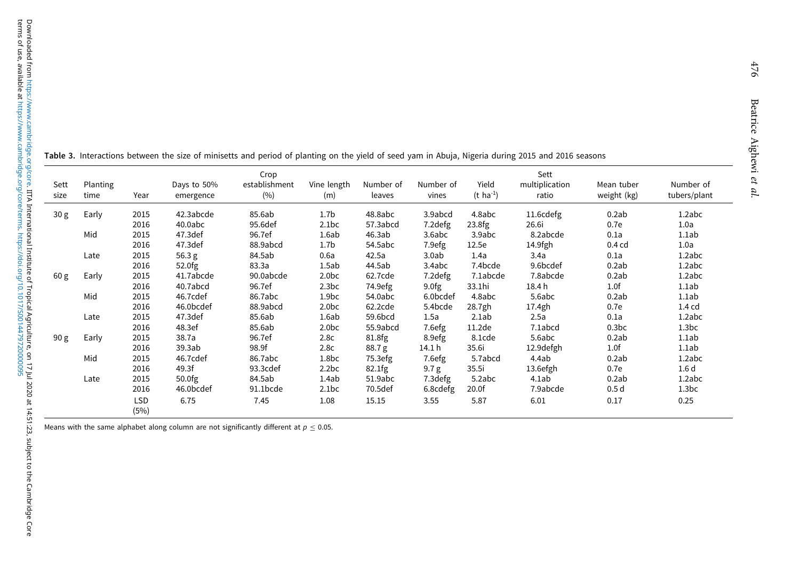| Sett<br>size    | Planting<br>time | Year        | Days to 50%<br>emergence | Crop<br>establishment<br>(%) | Vine length<br>(m) | Number of<br>leaves | Number of<br>vines | Yield<br>$(t \text{ ha}^{-1})$ | Sett<br>multiplication<br>ratio | Mean tuber<br>weight (kg) | Number of<br>tubers/plant |
|-----------------|------------------|-------------|--------------------------|------------------------------|--------------------|---------------------|--------------------|--------------------------------|---------------------------------|---------------------------|---------------------------|
|                 |                  |             |                          |                              |                    |                     |                    |                                |                                 |                           |                           |
| 30 <sub>g</sub> | Early            | 2015        | 42.3abcde                | 85.6ab                       | 1.7 <sub>b</sub>   | 48.8abc             | 3.9abcd            | 4.8abc                         | 11.6cdefg                       | 0.2ab                     | 1.2abc                    |
|                 |                  | 2016        | 40.0abc                  | 95.6def                      | 2.1bc              | 57.3abcd            | 7.2 defg           | 23.8fg                         | 26.6i                           | 0.7e                      | 1.0a                      |
|                 | Mid              | 2015        | 47.3def                  | 96.7ef                       | 1.6ab              | 46.3ab              | 3.6abc             | 3.9abc                         | 8.2abcde                        | 0.1a                      | 1.1ab                     |
|                 |                  | 2016        | 47.3def                  | 88.9abcd                     | 1.7 <sub>b</sub>   | 54.5abc             | 7.9efg             | 12.5e                          | 14.9fgh                         | $0.4$ cd                  | 1.0a                      |
|                 | Late             | 2015        | 56.3 g                   | 84.5ab                       | 0.6a               | 42.5a               | 3.0ab              | 1.4a                           | 3.4a                            | 0.1a                      | 1.2abc                    |
|                 |                  | 2016        | 52.0fg                   | 83.3a                        | 1.5ab              | 44.5ab              | 3.4abc             | 7.4bcde                        | 9.6bcdef                        | 0.2ab                     | 1.2abc                    |
| 60 g            | Early            | 2015        | 41.7abcde                | 90.0abcde                    | 2.0 <sub>bc</sub>  | 62.7cde             | 7.2 defg           | 7.1abcde                       | 7.8abcde                        | 0.2ab                     | 1.2abc                    |
|                 |                  | 2016        | 40.7abcd                 | 96.7ef                       | 2.3bc              | 74.9efg             | 9.0fg              | 33.1hi                         | 18.4h                           | 1.0f                      | 1.1ab                     |
|                 | Mid              | 2015        | 46.7cdef                 | 86.7abc                      | 1.9 <sub>bc</sub>  | 54.0abc             | 6.0bcdef           | 4.8abc                         | 5.6abc                          | 0.2ab                     | 1.1ab                     |
|                 |                  | 2016        | 46.0bcdef                | 88.9abcd                     | 2.0 <sub>bc</sub>  | 62.2cde             | 5.4bcde            | 28.7gh                         | 17.4gh                          | 0.7e                      | 1.4 <sub>cd</sub>         |
|                 | Late             | 2015        | 47.3def                  | 85.6ab                       | 1.6ab              | 59.6bcd             | 1.5a               | 2.1ab                          | 2.5a                            | 0.1a                      | 1.2abc                    |
|                 |                  | 2016        | 48.3ef                   | 85.6ab                       | 2.0 <sub>bc</sub>  | 55.9abcd            | 7.6efg             | 11.2 <sub>de</sub>             | 7.1abcd                         | 0.3 <sub>bc</sub>         | 1.3 <sub>bc</sub>         |
| 90 g            | Early            | 2015        | 38.7a                    | 96.7ef                       | 2.8c               | 81.8fg              | 8.9efg             | 8.1cde                         | 5.6abc                          | 0.2ab                     | 1.1ab                     |
|                 |                  | 2016        | 39.3ab                   | 98.9f                        | 2.8c               | 88.7g               | 14.1 h             | 35.6i                          | 12.9 defgh                      | 1.0f                      | 1.1ab                     |
|                 | Mid              | 2015        | 46.7cdef                 | 86.7abc                      | 1.8 <sub>bc</sub>  | 75.3efg             | 7.6efg             | 5.7abcd                        | 4.4ab                           | 0.2ab                     | 1.2abc                    |
|                 |                  | 2016        | 49.3f                    | 93.3cdef                     | 2.2bc              | 82.1fg              | 9.7 g              | 35.5i                          | 13.6efgh                        | 0.7e                      | 1.6 <sub>d</sub>          |
|                 | Late             | 2015        | 50.0fg                   | 84.5ab                       | 1.4ab              | 51.9abc             | 7.3defg            | 5.2abc                         | 4.1ab                           | 0.2ab                     | 1.2abc                    |
|                 |                  | 2016        | 46.0bcdef                | 91.1bcde                     | 2.1bc              | 70.5def             | 6.8cdefg           | 20.0f                          | 7.9abcde                        | 0.5 <sub>d</sub>          | 1.3 <sub>bc</sub>         |
|                 |                  | LSD<br>(5%) | 6.75                     | 7.45                         | 1.08               | 15.15               | 3.55               | 5.87                           | 6.01                            | 0.17                      | 0.25                      |

Table 3. Interactions between the size of minisetts and period of planting on the yield of seed yam in Abuja, Nigeria during <sup>2015</sup> and <sup>2016</sup> seasons

Means with the same alphabet along column are not significantly different at  $p \leq 0.05$ .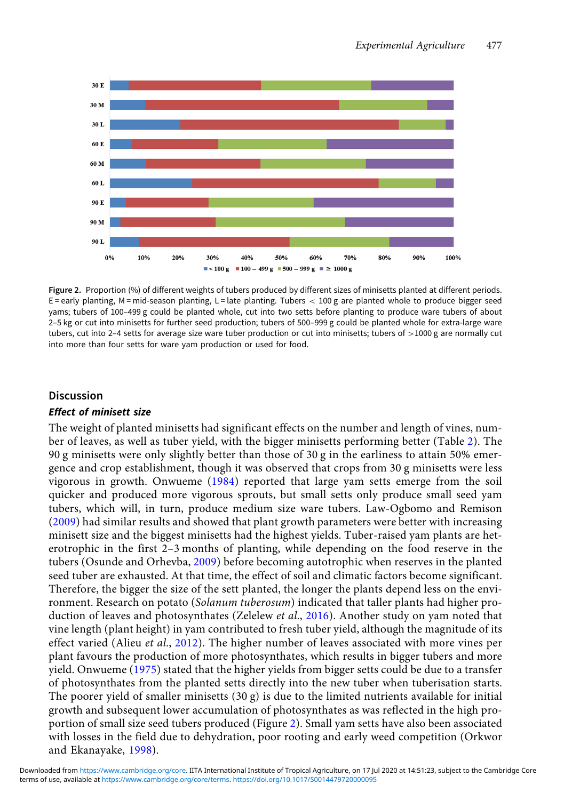

Figure 2. Proportion (%) of different weights of tubers produced by different sizes of minisetts planted at different periods.  $E =$  early planting, M = mid-season planting, L = late planting. Tubers  $<$  100 g are planted whole to produce bigger seed yams; tubers of 100–499 g could be planted whole, cut into two setts before planting to produce ware tubers of about 2–5 kg or cut into minisetts for further seed production; tubers of 500–999 g could be planted whole for extra-large ware tubers, cut into 2–4 setts for average size ware tuber production or cut into minisetts; tubers of >1000 g are normally cut into more than four setts for ware yam production or used for food.

## **Discussion**

#### Effect of minisett size

The weight of planted minisetts had significant effects on the number and length of vines, number of leaves, as well as tuber yield, with the bigger minisetts performing better (Table 2). The 90 g minisetts were only slightly better than those of 30 g in the earliness to attain 50% emergence and crop establishment, though it was observed that crops from 30 g minisetts were less vigorous in growth. Onwueme (1984) reported that large yam setts emerge from the soil quicker and produced more vigorous sprouts, but small setts only produce small seed yam tubers, which will, in turn, produce medium size ware tubers. Law-Ogbomo and Remison (2009) had similar results and showed that plant growth parameters were better with increasing minisett size and the biggest minisetts had the highest yields. Tuber-raised yam plants are heterotrophic in the first 2–3 months of planting, while depending on the food reserve in the tubers (Osunde and Orhevba, 2009) before becoming autotrophic when reserves in the planted seed tuber are exhausted. At that time, the effect of soil and climatic factors become significant. Therefore, the bigger the size of the sett planted, the longer the plants depend less on the environment. Research on potato (Solanum tuberosum) indicated that taller plants had higher production of leaves and photosynthates (Zelelew et al., 2016). Another study on yam noted that vine length (plant height) in yam contributed to fresh tuber yield, although the magnitude of its effect varied (Alieu *et al.*, 2012). The higher number of leaves associated with more vines per plant favours the production of more photosynthates, which results in bigger tubers and more yield. Onwueme (1975) stated that the higher yields from bigger setts could be due to a transfer of photosynthates from the planted setts directly into the new tuber when tuberisation starts. The poorer yield of smaller minisetts  $(30 g)$  is due to the limited nutrients available for initial growth and subsequent lower accumulation of photosynthates as was reflected in the high proportion of small size seed tubers produced (Figure 2). Small yam setts have also been associated with losses in the field due to dehydration, poor rooting and early weed competition (Orkwor and Ekanayake, 1998).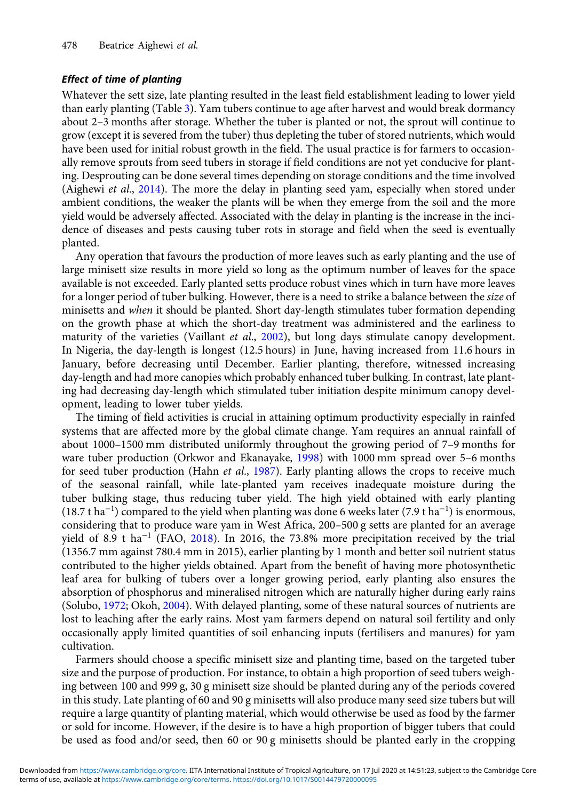### Effect of time of planting

Whatever the sett size, late planting resulted in the least field establishment leading to lower yield than early planting (Table 3). Yam tubers continue to age after harvest and would break dormancy about 2–3 months after storage. Whether the tuber is planted or not, the sprout will continue to grow (except it is severed from the tuber) thus depleting the tuber of stored nutrients, which would have been used for initial robust growth in the field. The usual practice is for farmers to occasionally remove sprouts from seed tubers in storage if field conditions are not yet conducive for planting. Desprouting can be done several times depending on storage conditions and the time involved (Aighewi et al., 2014). The more the delay in planting seed yam, especially when stored under ambient conditions, the weaker the plants will be when they emerge from the soil and the more yield would be adversely affected. Associated with the delay in planting is the increase in the incidence of diseases and pests causing tuber rots in storage and field when the seed is eventually planted.

Any operation that favours the production of more leaves such as early planting and the use of large minisett size results in more yield so long as the optimum number of leaves for the space available is not exceeded. Early planted setts produce robust vines which in turn have more leaves for a longer period of tuber bulking. However, there is a need to strike a balance between the size of minisetts and *when* it should be planted. Short day-length stimulates tuber formation depending on the growth phase at which the short-day treatment was administered and the earliness to maturity of the varieties (Vaillant et al., 2002), but long days stimulate canopy development. In Nigeria, the day-length is longest (12.5 hours) in June, having increased from 11.6 hours in January, before decreasing until December. Earlier planting, therefore, witnessed increasing day-length and had more canopies which probably enhanced tuber bulking. In contrast, late planting had decreasing day-length which stimulated tuber initiation despite minimum canopy development, leading to lower tuber yields.

The timing of field activities is crucial in attaining optimum productivity especially in rainfed systems that are affected more by the global climate change. Yam requires an annual rainfall of about 1000–1500 mm distributed uniformly throughout the growing period of 7–9 months for ware tuber production (Orkwor and Ekanayake, 1998) with 1000 mm spread over 5–6 months for seed tuber production (Hahn et al., 1987). Early planting allows the crops to receive much of the seasonal rainfall, while late-planted yam receives inadequate moisture during the tuber bulking stage, thus reducing tuber yield. The high yield obtained with early planting (18.7 t ha<sup>−</sup><sup>1</sup> ) compared to the yield when planting was done 6 weeks later (7.9 t ha<sup>−</sup><sup>1</sup> ) is enormous, considering that to produce ware yam in West Africa, 200–500 g setts are planted for an average yield of 8.9 t ha<sup>-1</sup> (FAO, 2018). In 2016, the 73.8% more precipitation received by the trial (1356.7 mm against 780.4 mm in 2015), earlier planting by 1 month and better soil nutrient status contributed to the higher yields obtained. Apart from the benefit of having more photosynthetic leaf area for bulking of tubers over a longer growing period, early planting also ensures the absorption of phosphorus and mineralised nitrogen which are naturally higher during early rains (Solubo, 1972; Okoh, 2004). With delayed planting, some of these natural sources of nutrients are lost to leaching after the early rains. Most yam farmers depend on natural soil fertility and only occasionally apply limited quantities of soil enhancing inputs (fertilisers and manures) for yam cultivation.

Farmers should choose a specific minisett size and planting time, based on the targeted tuber size and the purpose of production. For instance, to obtain a high proportion of seed tubers weighing between 100 and 999 g, 30 g minisett size should be planted during any of the periods covered in this study. Late planting of 60 and 90 g minisetts will also produce many seed size tubers but will require a large quantity of planting material, which would otherwise be used as food by the farmer or sold for income. However, if the desire is to have a high proportion of bigger tubers that could be used as food and/or seed, then 60 or 90 g minisetts should be planted early in the cropping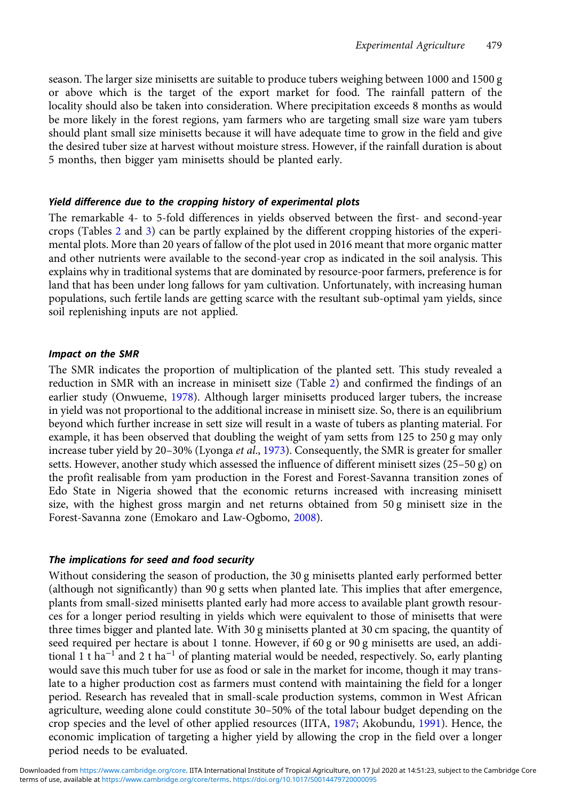season. The larger size minisetts are suitable to produce tubers weighing between 1000 and 1500 g or above which is the target of the export market for food. The rainfall pattern of the locality should also be taken into consideration. Where precipitation exceeds 8 months as would be more likely in the forest regions, yam farmers who are targeting small size ware yam tubers should plant small size minisetts because it will have adequate time to grow in the field and give the desired tuber size at harvest without moisture stress. However, if the rainfall duration is about 5 months, then bigger yam minisetts should be planted early.

### Yield difference due to the cropping history of experimental plots

The remarkable 4- to 5-fold differences in yields observed between the first- and second-year crops (Tables 2 and 3) can be partly explained by the different cropping histories of the experimental plots. More than 20 years of fallow of the plot used in 2016 meant that more organic matter and other nutrients were available to the second-year crop as indicated in the soil analysis. This explains why in traditional systems that are dominated by resource-poor farmers, preference is for land that has been under long fallows for yam cultivation. Unfortunately, with increasing human populations, such fertile lands are getting scarce with the resultant sub-optimal yam yields, since soil replenishing inputs are not applied.

### Impact on the SMR

The SMR indicates the proportion of multiplication of the planted sett. This study revealed a reduction in SMR with an increase in minisett size (Table 2) and confirmed the findings of an earlier study (Onwueme, 1978). Although larger minisetts produced larger tubers, the increase in yield was not proportional to the additional increase in minisett size. So, there is an equilibrium beyond which further increase in sett size will result in a waste of tubers as planting material. For example, it has been observed that doubling the weight of yam setts from 125 to 250 g may only increase tuber yield by 20–30% (Lyonga *et al.*, 1973). Consequently, the SMR is greater for smaller setts. However, another study which assessed the influence of different minisett sizes (25–50 g) on the profit realisable from yam production in the Forest and Forest-Savanna transition zones of Edo State in Nigeria showed that the economic returns increased with increasing minisett size, with the highest gross margin and net returns obtained from 50 g minisett size in the Forest-Savanna zone (Emokaro and Law-Ogbomo, 2008).

### The implications for seed and food security

Without considering the season of production, the 30 g minisetts planted early performed better (although not significantly) than 90 g setts when planted late. This implies that after emergence, plants from small-sized minisetts planted early had more access to available plant growth resources for a longer period resulting in yields which were equivalent to those of minisetts that were three times bigger and planted late. With 30 g minisetts planted at 30 cm spacing, the quantity of seed required per hectare is about 1 tonne. However, if 60 g or 90 g minisetts are used, an additional 1 t ha<sup>-1</sup> and 2 t ha<sup>-1</sup> of planting material would be needed, respectively. So, early planting would save this much tuber for use as food or sale in the market for income, though it may translate to a higher production cost as farmers must contend with maintaining the field for a longer period. Research has revealed that in small-scale production systems, common in West African agriculture, weeding alone could constitute 30–50% of the total labour budget depending on the crop species and the level of other applied resources (IITA, 1987; Akobundu, 1991). Hence, the economic implication of targeting a higher yield by allowing the crop in the field over a longer period needs to be evaluated.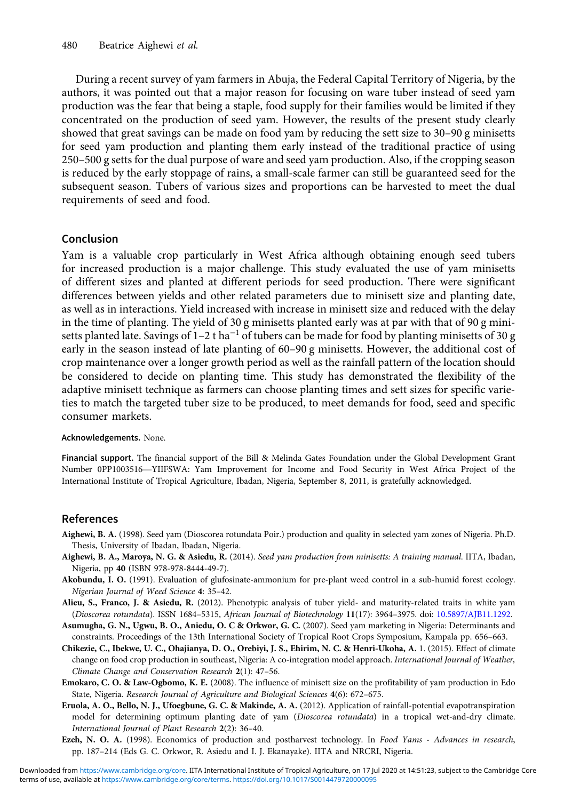During a recent survey of yam farmers in Abuja, the Federal Capital Territory of Nigeria, by the authors, it was pointed out that a major reason for focusing on ware tuber instead of seed yam production was the fear that being a staple, food supply for their families would be limited if they concentrated on the production of seed yam. However, the results of the present study clearly showed that great savings can be made on food yam by reducing the sett size to 30–90 g minisetts for seed yam production and planting them early instead of the traditional practice of using 250–500 g setts for the dual purpose of ware and seed yam production. Also, if the cropping season is reduced by the early stoppage of rains, a small-scale farmer can still be guaranteed seed for the subsequent season. Tubers of various sizes and proportions can be harvested to meet the dual requirements of seed and food.

## Conclusion

Yam is a valuable crop particularly in West Africa although obtaining enough seed tubers for increased production is a major challenge. This study evaluated the use of yam minisetts of different sizes and planted at different periods for seed production. There were significant differences between yields and other related parameters due to minisett size and planting date, as well as in interactions. Yield increased with increase in minisett size and reduced with the delay in the time of planting. The yield of 30 g minisetts planted early was at par with that of 90 g minisetts planted late. Savings of  $1-2$  t ha<sup>-1</sup> of tubers can be made for food by planting minisetts of 30 g early in the season instead of late planting of 60–90 g minisetts. However, the additional cost of crop maintenance over a longer growth period as well as the rainfall pattern of the location should be considered to decide on planting time. This study has demonstrated the flexibility of the adaptive minisett technique as farmers can choose planting times and sett sizes for specific varieties to match the targeted tuber size to be produced, to meet demands for food, seed and specific consumer markets.

#### Acknowledgements. None.

Financial support. The financial support of the Bill & Melinda Gates Foundation under the Global Development Grant <mark>Acknowledgements.</mark> None.<br>**Financial support.** The financial support of the Bill & Melinda Gates Foundation under the Global Development Grant<br>Number 0PP1003516—YIIFSWA: Yam Improvement for Income and Food Security in West International Institute of Tropical Agriculture, Ibadan, Nigeria, September 8, 2011, is gratefully acknowledged.

## References

- Aighewi, B. A. (1998). Seed yam (Dioscorea rotundata Poir.) production and quality in selected yam zones of Nigeria. Ph.D. Thesis, University of Ibadan, Ibadan, Nigeria.
- Aighewi, B. A., Maroya, N. G. & Asiedu, R. (2014). Seed yam production from minisetts: A training manual. IITA, Ibadan, Nigeria, pp 40 (ISBN 978-978-8444-49-7).
- Akobundu, I. O. (1991). Evaluation of glufosinate-ammonium for pre-plant weed control in a sub-humid forest ecology. Nigerian Journal of Weed Science 4: 35–42.
- Alieu, S., Franco, J. & Asiedu, R. (2012). Phenotypic analysis of tuber yield- and maturity-related traits in white yam (Dioscorea rotundata). ISSN 1684–5315, African Journal of Biotechnology 11(17): 3964–3975. doi: [10.5897/AJB11.1292.](https://doi.org/10.5897/AJB11.1292)
- Asumugha, G. N., Ugwu, B. O., Aniedu, O. C & Orkwor, G. C. (2007). Seed yam marketing in Nigeria: Determinants and constraints. Proceedings of the 13th International Society of Tropical Root Crops Symposium, Kampala pp. 656–663.
- Chikezie, C., Ibekwe, U. C., Ohajianya, D. O., Orebiyi, J. S., Ehirim, N. C. & Henri-Ukoha, A. 1. (2015). Effect of climate change on food crop production in southeast, Nigeria: A co-integration model approach. International Journal of Weather, Climate Change and Conservation Research 2(1): 47–56.
- Emokaro, C. O. & Law-Ogbomo, K. E. (2008). The influence of minisett size on the profitability of yam production in Edo State, Nigeria. Research Journal of Agriculture and Biological Sciences 4(6): 672–675.
- Eruola, A. O., Bello, N. J., Ufoegbune, G. C. & Makinde, A. A. (2012). Application of rainfall-potential evapotranspiration model for determining optimum planting date of yam (Dioscorea rotundata) in a tropical wet-and-dry climate. International Journal of Plant Research 2(2): 36–40.
- Ezeh, N. O. A. (1998). Economics of production and postharvest technology. In Food Yams Advances in research, pp. 187–214 (Eds G. C. Orkwor, R. Asiedu and I. J. Ekanayake). IITA and NRCRI, Nigeria.